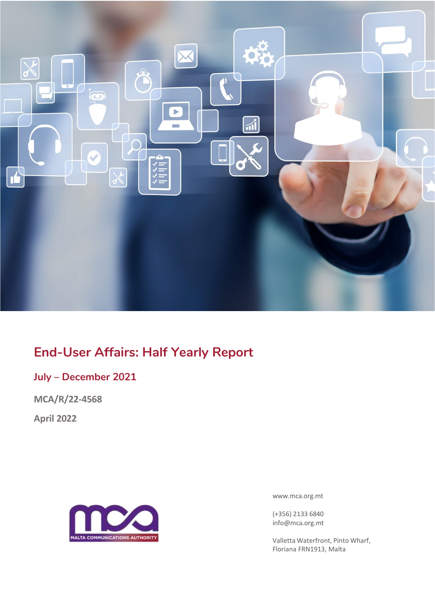

# **End-User Affairs: Half Yearly Report**

## **July – December 2021**

**MCA/R/22-4568**

**April 2022**



[www.mca.org.mt](http://www.mca.org.mt/)

(+356) 2133 6840 [info@mca.org.mt](mailto:info@mca.org.mt)

Valletta Waterfront, Pinto Wharf, Floriana FRN1913, Malta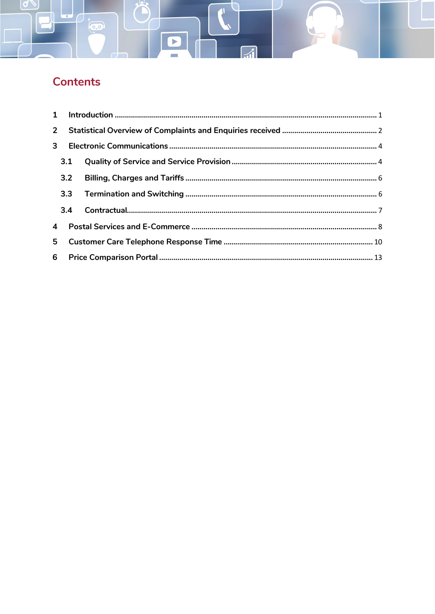# Contents

ico)

|  | 3.1            |  |  |  |  |  |
|--|----------------|--|--|--|--|--|
|  |                |  |  |  |  |  |
|  |                |  |  |  |  |  |
|  |                |  |  |  |  |  |
|  | $\overline{4}$ |  |  |  |  |  |
|  | 5 <sub>1</sub> |  |  |  |  |  |
|  |                |  |  |  |  |  |

 $\overline{z}$ 

P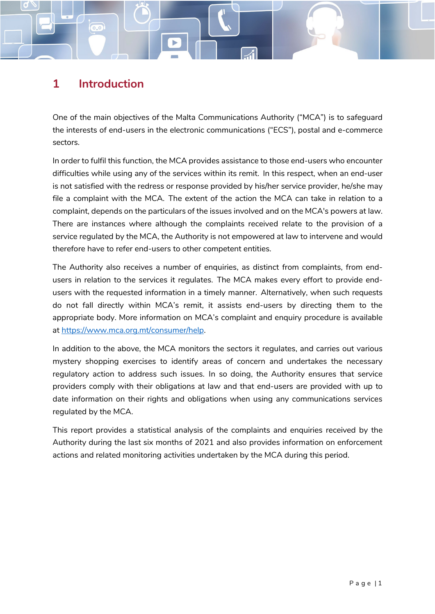## **1 Introduction**

 $\overline{\overline{0.0}}$ 

<span id="page-2-0"></span>One of the main objectives of the Malta Communications Authority ("MCA") is to safeguard the interests of end-users in the electronic communications ("ECS"), postal and e-commerce sectors.

In order to fulfil this function, the MCA provides assistance to those end-users who encounter difficulties while using any of the services within its remit. In this respect, when an end-user is not satisfied with the redress or response provided by his/her service provider, he/she may file a complaint with the MCA. The extent of the action the MCA can take in relation to a complaint, depends on the particulars of the issues involved and on the MCA's powers at law. There are instances where although the complaints received relate to the provision of a service regulated by the MCA, the Authority is not empowered at law to intervene and would therefore have to refer end-users to other competent entities.

The Authority also receives a number of enquiries, as distinct from complaints, from endusers in relation to the services it regulates. The MCA makes every effort to provide endusers with the requested information in a timely manner. Alternatively, when such requests do not fall directly within MCA's remit, it assists end-users by directing them to the appropriate body. More information on MCA's complaint and enquiry procedure is available at [https://www.mca.org.mt/consumer/help.](https://www.mca.org.mt/consumer/help)

In addition to the above, the MCA monitors the sectors it regulates, and carries out various mystery shopping exercises to identify areas of concern and undertakes the necessary regulatory action to address such issues. In so doing, the Authority ensures that service providers comply with their obligations at law and that end-users are provided with up to date information on their rights and obligations when using any communications services regulated by the MCA.

This report provides a statistical analysis of the complaints and enquiries received by the Authority during the last six months of 2021 and also provides information on enforcement actions and related monitoring activities undertaken by the MCA during this period.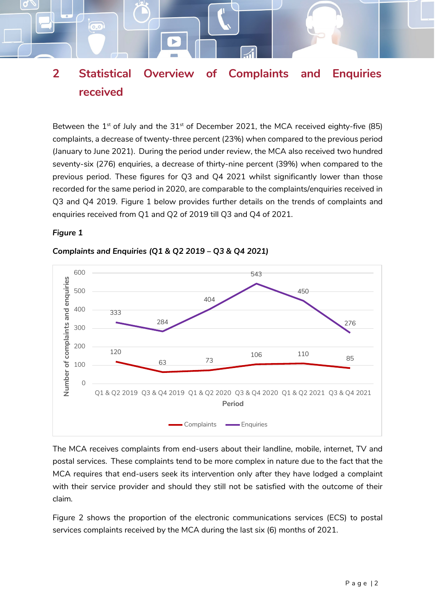## <span id="page-3-0"></span>**2 Statistical Overview of Complaints and Enquiries received**

Between the  $1^{st}$  of July and the  $31^{st}$  of December 2021, the MCA received eighty-five (85) complaints, a decrease of twenty-three percent (23%) when compared to the previous period (January to June 2021). During the period under review, the MCA also received two hundred seventy-six (276) enquiries, a decrease of thirty-nine percent (39%) when compared to the previous period. These figures for Q3 and Q4 2021 whilst significantly lower than those recorded for the same period in 2020, are comparable to the complaints/enquiries received in Q3 and Q4 2019. Figure 1 below provides further details on the trends of complaints and enquiries received from Q1 and Q2 of 2019 till Q3 and Q4 of 2021.

#### *Figure 1*

 $(0, 0)$ 



#### *Complaints and Enquiries (Q1 & Q2 2019 – Q3 & Q4 2021)*

The MCA receives complaints from end-users about their landline, mobile, internet, TV and postal services. These complaints tend to be more complex in nature due to the fact that the MCA requires that end-users seek its intervention only after they have lodged a complaint with their service provider and should they still not be satisfied with the outcome of their claim.

Figure 2 shows the proportion of the electronic communications services (ECS) to postal services complaints received by the MCA during the last six (6) months of 2021.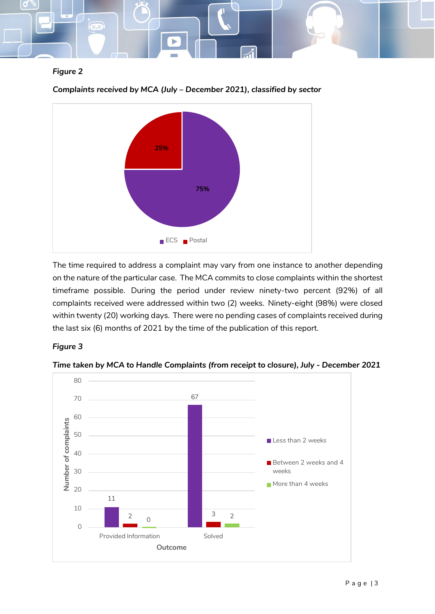

#### *Figure 2*



*Complaints received by MCA (July – December 2021), classified by sector*

The time required to address a complaint may vary from one instance to another depending on the nature of the particular case. The MCA commits to close complaints within the shortest timeframe possible. During the period under review ninety-two percent (92%) of all complaints received were addressed within two (2) weeks. Ninety-eight (98%) were closed within twenty (20) working days. There were no pending cases of complaints received during the last six (6) months of 2021 by the time of the publication of this report.

#### *Figure 3*



*Time taken by MCA to Handle Complaints (from receipt to closure), July - December 2021*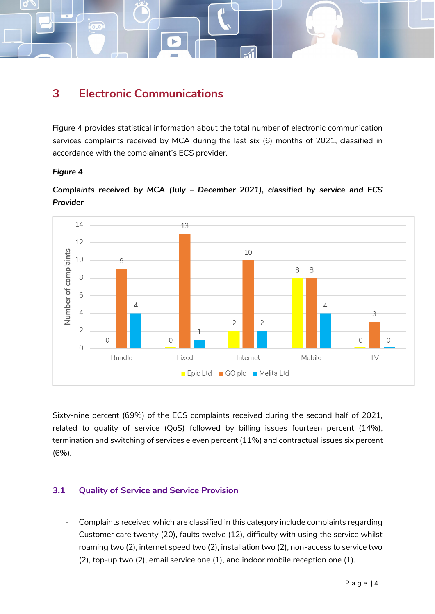<span id="page-5-0"></span>

 $\overline{0.0}$ 

Figure 4 provides statistical information about the total number of electronic communication services complaints received by MCA during the last six (6) months of 2021, classified in accordance with the complainant's ECS provider.

#### *Figure 4*



*Complaints received by MCA (July – December 2021), classified by service and ECS Provider*

Sixty-nine percent (69%) of the ECS complaints received during the second half of 2021, related to quality of service (QoS) followed by billing issues fourteen percent (14%), termination and switching of services eleven percent (11%) and contractual issues six percent (6%).

#### <span id="page-5-1"></span>**3.1 Quality of Service and Service Provision**

- Complaints received which are classified in this category include complaints regarding Customer care twenty (20), faults twelve (12), difficulty with using the service whilst roaming two (2), internet speed two (2), installation two (2), non-access to service two (2), top-up two (2), email service one (1), and indoor mobile reception one (1).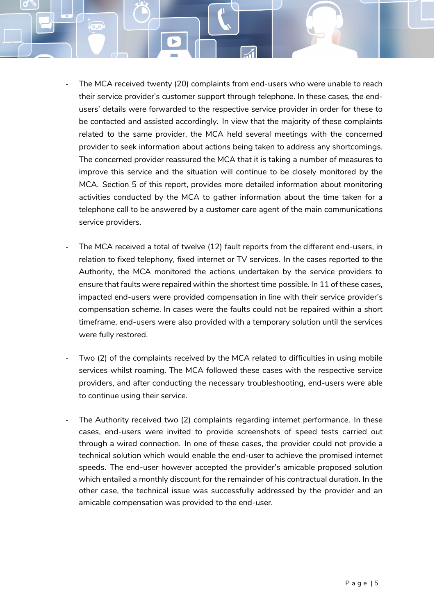The MCA received twenty (20) complaints from end-users who were unable to reach their service provider's customer support through telephone. In these cases, the endusers' details were forwarded to the respective service provider in order for these to be contacted and assisted accordingly. In view that the majority of these complaints related to the same provider, the MCA held several meetings with the concerned provider to seek information about actions being taken to address any shortcomings. The concerned provider reassured the MCA that it is taking a number of measures to improve this service and the situation will continue to be closely monitored by the MCA. Section 5 of this report, provides more detailed information about monitoring activities conducted by the MCA to gather information about the time taken for a telephone call to be answered by a customer care agent of the main communications service providers.

 $\overline{0.0}$ 

- The MCA received a total of twelve (12) fault reports from the different end-users, in relation to fixed telephony, fixed internet or TV services. In the cases reported to the Authority, the MCA monitored the actions undertaken by the service providers to ensure that faults were repaired within the shortest time possible. In 11 of these cases, impacted end-users were provided compensation in line with their service provider's compensation scheme. In cases were the faults could not be repaired within a short timeframe, end-users were also provided with a temporary solution until the services were fully restored.
- Two (2) of the complaints received by the MCA related to difficulties in using mobile services whilst roaming. The MCA followed these cases with the respective service providers, and after conducting the necessary troubleshooting, end-users were able to continue using their service.
- The Authority received two (2) complaints regarding internet performance. In these cases, end-users were invited to provide screenshots of speed tests carried out through a wired connection. In one of these cases, the provider could not provide a technical solution which would enable the end-user to achieve the promised internet speeds. The end-user however accepted the provider's amicable proposed solution which entailed a monthly discount for the remainder of his contractual duration. In the other case, the technical issue was successfully addressed by the provider and an amicable compensation was provided to the end-user.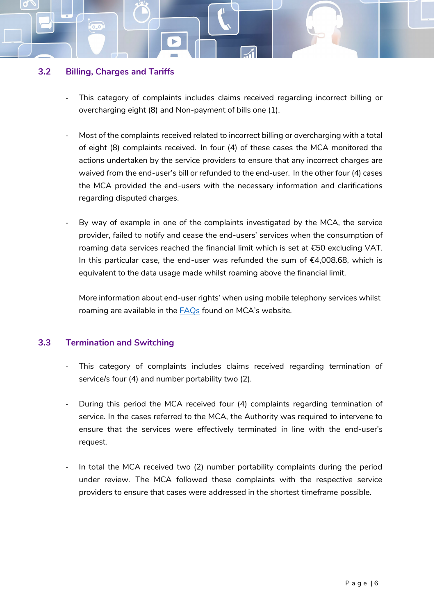#### <span id="page-7-0"></span>**3.2 Billing, Charges and Tariffs**

 $(0,0)$ 

- This category of complaints includes claims received regarding incorrect billing or overcharging eight (8) and Non-payment of bills one (1).
- Most of the complaints received related to incorrect billing or overcharging with a total of eight (8) complaints received. In four (4) of these cases the MCA monitored the actions undertaken by the service providers to ensure that any incorrect charges are waived from the end-user's bill or refunded to the end-user. In the other four (4) cases the MCA provided the end-users with the necessary information and clarifications regarding disputed charges.
- By way of example in one of the complaints investigated by the MCA, the service provider, failed to notify and cease the end-users' services when the consumption of roaming data services reached the financial limit which is set at €50 excluding VAT. In this particular case, the end-user was refunded the sum of  $€4,008.68$ , which is equivalent to the data usage made whilst roaming above the financial limit.

More information about end-user rights' when using mobile telephony services whilst roaming are available in the [FAQs](https://www.mca.org.mt/consumer/faqs) found on MCA's website.

#### <span id="page-7-1"></span>**3.3 Termination and Switching**

- This category of complaints includes claims received regarding termination of service/s four (4) and number portability two (2).
- During this period the MCA received four (4) complaints regarding termination of service. In the cases referred to the MCA, the Authority was required to intervene to ensure that the services were effectively terminated in line with the end-user's request.
- In total the MCA received two (2) number portability complaints during the period under review. The MCA followed these complaints with the respective service providers to ensure that cases were addressed in the shortest timeframe possible.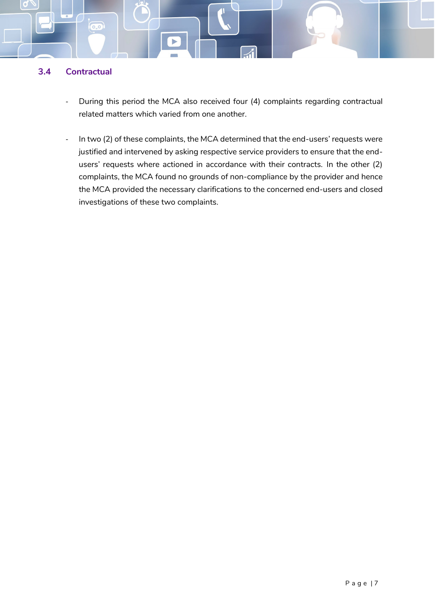#### <span id="page-8-0"></span>**3.4 Contractual**

 $\overline{(\circ, \circ)}$ 

- During this period the MCA also received four (4) complaints regarding contractual related matters which varied from one another.
- In two (2) of these complaints, the MCA determined that the end-users' requests were justified and intervened by asking respective service providers to ensure that the endusers' requests where actioned in accordance with their contracts. In the other (2) complaints, the MCA found no grounds of non-compliance by the provider and hence the MCA provided the necessary clarifications to the concerned end-users and closed investigations of these two complaints.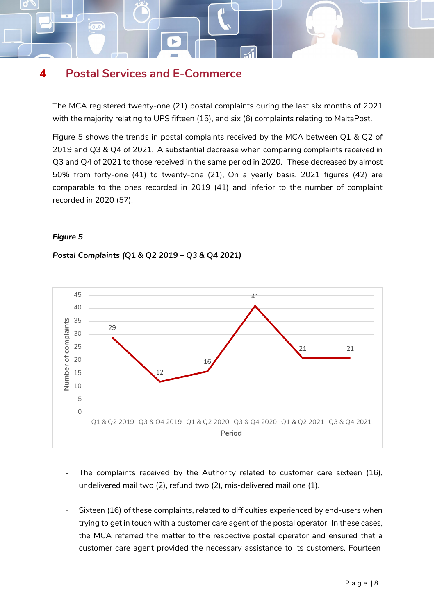## <span id="page-9-0"></span>**4 Postal Services and E-Commerce**

 $\overline{0.0}$ 

The MCA registered twenty-one (21) postal complaints during the last six months of 2021 with the majority relating to UPS fifteen (15), and six (6) complaints relating to MaltaPost.

Figure 5 shows the trends in postal complaints received by the MCA between Q1 & Q2 of 2019 and Q3 & Q4 of 2021. A substantial decrease when comparing complaints received in Q3 and Q4 of 2021 to those received in the same period in 2020. These decreased by almost 50% from forty-one (41) to twenty-one (21), On a yearly basis, 2021 figures (42) are comparable to the ones recorded in 2019 (41) and inferior to the number of complaint recorded in 2020 (57).

#### *Figure 5*

#### *Postal Complaints (Q1 & Q2 2019 – Q3 & Q4 2021)*



- The complaints received by the Authority related to customer care sixteen (16), undelivered mail two (2), refund two (2), mis-delivered mail one (1).
- Sixteen (16) of these complaints, related to difficulties experienced by end-users when trying to get in touch with a customer care agent of the postal operator. In these cases, the MCA referred the matter to the respective postal operator and ensured that a customer care agent provided the necessary assistance to its customers. Fourteen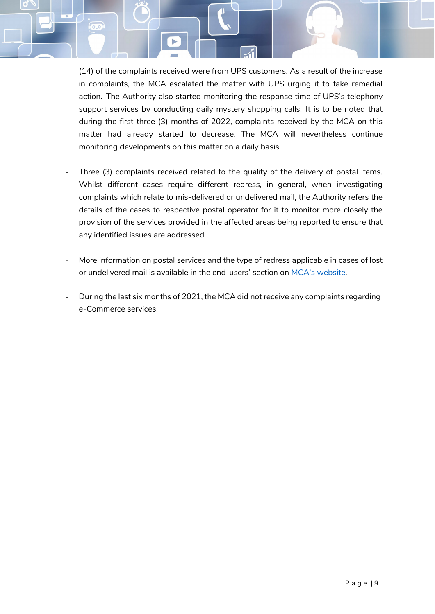(14) of the complaints received were from UPS customers. As a result of the increase in complaints, the MCA escalated the matter with UPS urging it to take remedial action. The Authority also started monitoring the response time of UPS's telephony support services by conducting daily mystery shopping calls. It is to be noted that during the first three (3) months of 2022, complaints received by the MCA on this matter had already started to decrease. The MCA will nevertheless continue monitoring developments on this matter on a daily basis.

 $\overline{(\circ, \circ)}$ 

- Three (3) complaints received related to the quality of the delivery of postal items. Whilst different cases require different redress, in general, when investigating complaints which relate to mis-delivered or undelivered mail, the Authority refers the details of the cases to respective postal operator for it to monitor more closely the provision of the services provided in the affected areas being reported to ensure that any identified issues are addressed.
- More information on postal services and the type of redress applicable in cases of lost or undelivered mail is available in the end-users' section on [MCA's website.](https://www.mca.org.mt/consumer/faqs)
- During the last six months of 2021, the MCA did not receive any complaints regarding e-Commerce services.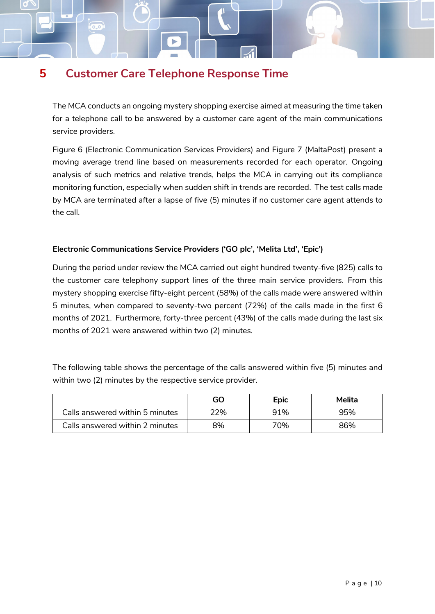## <span id="page-11-0"></span>**5 Customer Care Telephone Response Time**

 $\overline{0.0}$ 

The MCA conducts an ongoing mystery shopping exercise aimed at measuring the time taken for a telephone call to be answered by a customer care agent of the main communications service providers.

Figure 6 (Electronic Communication Services Providers) and Figure 7 (MaltaPost) present a moving average trend line based on measurements recorded for each operator. Ongoing analysis of such metrics and relative trends, helps the MCA in carrying out its compliance monitoring function, especially when sudden shift in trends are recorded. The test calls made by MCA are terminated after a lapse of five (5) minutes if no customer care agent attends to the call.

#### **Electronic Communications Service Providers ('GO plc', 'Melita Ltd', 'Epic')**

During the period under review the MCA carried out eight hundred twenty-five (825) calls to the customer care telephony support lines of the three main service providers. From this mystery shopping exercise fifty-eight percent (58%) of the calls made were answered within 5 minutes, when compared to seventy-two percent (72%) of the calls made in the first 6 months of 2021. Furthermore, forty-three percent (43%) of the calls made during the last six months of 2021 were answered within two (2) minutes.

The following table shows the percentage of the calls answered within five (5) minutes and within two (2) minutes by the respective service provider.

|                                 | GO  | Epic | Melita |
|---------------------------------|-----|------|--------|
| Calls answered within 5 minutes | ?ე% | 91%  | 95%    |
| Calls answered within 2 minutes | 8%  | 70%  | 86%    |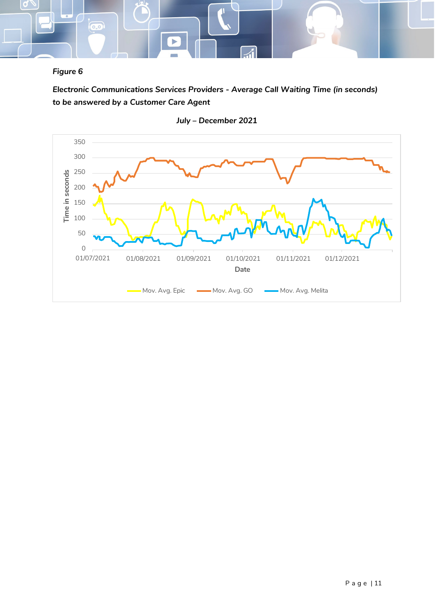

#### *Figure 6*

*Electronic Communications Services Providers - Average Call Waiting Time (in seconds) to be answered by a Customer Care Agent*



*July – December 2021*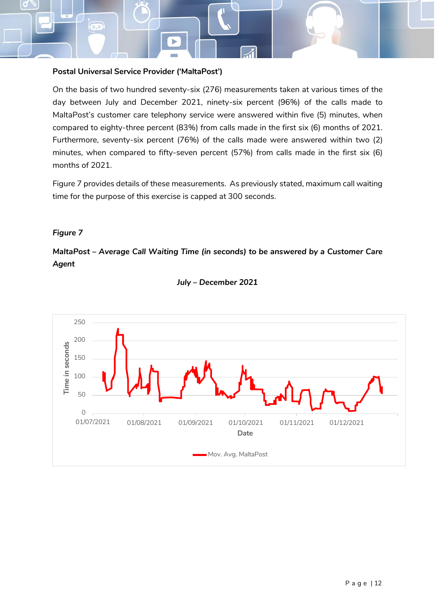#### **Postal Universal Service Provider ('MaltaPost')**

 $\overline{0.0}$ 

On the basis of two hundred seventy-six (276) measurements taken at various times of the day between July and December 2021, ninety-six percent (96%) of the calls made to MaltaPost's customer care telephony service were answered within five (5) minutes, when compared to eighty-three percent (83%) from calls made in the first six (6) months of 2021. Furthermore, seventy-six percent (76%) of the calls made were answered within two (2) minutes, when compared to fifty-seven percent (57%) from calls made in the first six (6) months of 2021.

Figure 7 provides details of these measurements. As previously stated, maximum call waiting time for the purpose of this exercise is capped at 300 seconds.

#### *Figure 7*

*MaltaPost – Average Call Waiting Time (in seconds) to be answered by a Customer Care Agent*



#### *July – December 2021*